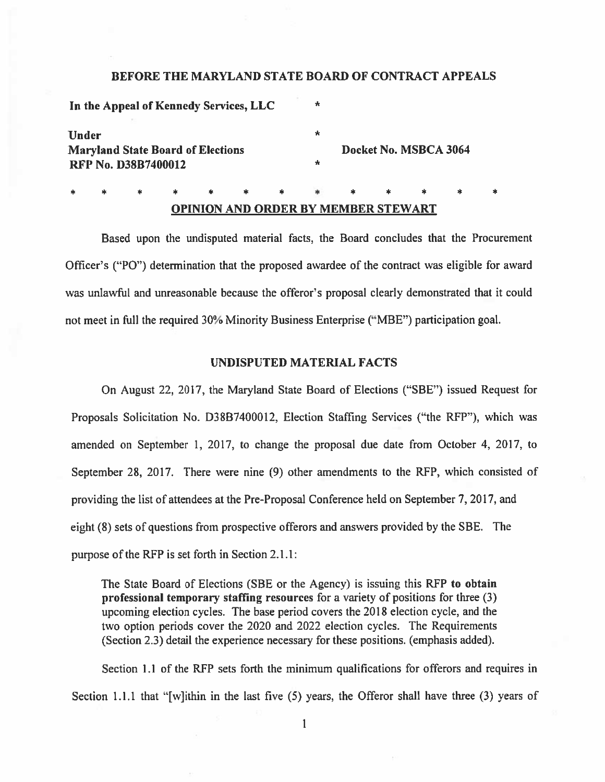### BEFORE THE MARYLAND STATE BOARD OF CONTRACT APPEALS

|                                          |  |                            |  |  | In the Appeal of Kennedy Services, LLC |  | $\ast$ |                       |  |  |  |  |  |
|------------------------------------------|--|----------------------------|--|--|----------------------------------------|--|--------|-----------------------|--|--|--|--|--|
| <b>Under</b>                             |  |                            |  |  |                                        |  | ÷      |                       |  |  |  |  |  |
| <b>Maryland State Board of Elections</b> |  |                            |  |  |                                        |  |        | Docket No. MSBCA 3064 |  |  |  |  |  |
|                                          |  | <b>RFP No. D38B7400012</b> |  |  |                                        |  | ×      |                       |  |  |  |  |  |
|                                          |  |                            |  |  |                                        |  |        |                       |  |  |  |  |  |

## OPINION AND ORDER BY MEMBER STEWART

Based upon the undisputed material facts, the Board concludes that the Procurement Officer's ("PO") determination that the proposed awardee of the contract was eligible for award was unlawful and unreasonable because the offeror's proposal clearly demonstrated that it could not meet in full the required 30% Minority Business Enterprise ("MBE") participation goal.

#### UNDISPUTED MATERIAL FACTS

On August 22, 2017, the Maryland State Board of Elections ("SBE") issued Request for Proposals Solicitation No. D38B7400012, Election Staffing Services ("the RFP"). which was amended on September 1, 2017, to change the proposal due date from October 4, 2017, to September 28. 2017. There were nine (9) other amendments to the RFP, which consisted of providing the list of attendees at the Pre-Proposal Conference held on September 7,2017, and eight (8) sets of questions from prospective offerors and answers provided by the SBE. The purpose of the RFP is set forth in Section  $2.1.1$ :

The State Board of Elections (SBE or the Agency) is issuing this REP to obtain professional temporary staffing resources for <sup>a</sup> variety of positions for three (3) upcoming election cycles. The base period covers the 2018 election cycle, and the two option periods cover the 2020 and 2022 election cycles. The Requirements (Section 2.3) detail the experience necessary for these positions. (emphasis added).

Section 1.1 of the REP sets forth the minimum qualifications for offerors and requires in Section 1.1.1 that "[w]ithin in the last five (5) years, the Offeror shall have three (3) years of

I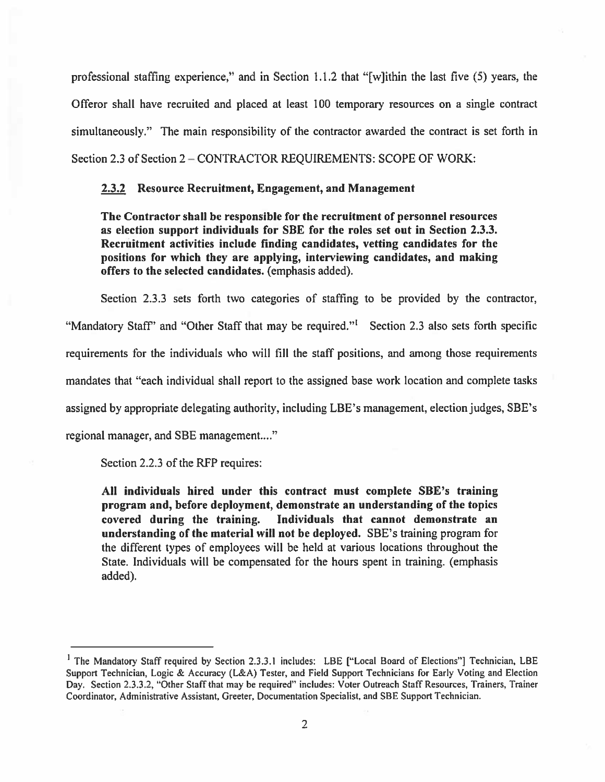professional staffing experience," and in Section 1.1.2 that "[wjithin the last five (5) years, the Offeror shall have recruited and placed at least 100 temporary resources on <sup>a</sup> single contract simultaneously." The main responsibility of the contractor awarded the contract is set forth in Section 2.3 of Section 2—CONTRACTOR REQUIREMENTS: SCOPE OF WORK:

## 2.3.2 Resource Recruitment, Engagement, and Management

The Contractor shall be responsible for the recruitment of personnel resources as election suppor<sup>t</sup> individuals for SBE for the roles set out in Section 2.3.3. Recruitment activities include finding candidates, vetting candidates for the positions for which they are applying, interviewing candidates, and making offers to the selected candidates. (emphasis added).

Section 2.3.3 sets forth two categories of staffing to be provided by the contractor, "Mandatory Staff' and "Other Staff that may be required." Section 2.3 also sets forth specific requirements for the individuals who will fill the staff positions, and among those requirements mandates that "each individual shall repor<sup>t</sup> to the assigned base work location and complete tasks assigned by appropriate delegating authority, including LBE's management, election judges, SBE's regional manager, and SBE management...."

Section 2.2.3 of the RFP requires:

All individuals hired under this contract must complete SBE's training program and, before deployment, demonstrate an understanding of the topics covered during the training. Individuals that cannot demonstrate an understanding of the material will not be deployed. SBE's training program for the different types of employees will be held at various locations throughout the State. Individuals will be compensated for the hours spen<sup>t</sup> in training. (emphasis added).

<sup>&</sup>lt;sup>1</sup> The Mandatory Staff required by Section 2.3.3.1 includes: LBE ["Local Board of Elections"] Technician, LBE Support Technician. Logic & Accuracy (L&A) Tester, and Field Support Technicians for Early Voting and Election Day. Section 2.3.3.2, "Other Staff that may be required" includes: Voter Outreach Staff Resources, Trainers, Trainer Coordinator, Administrative Assistant, Greeter, Documentation Specialist, and SBE Support Technician.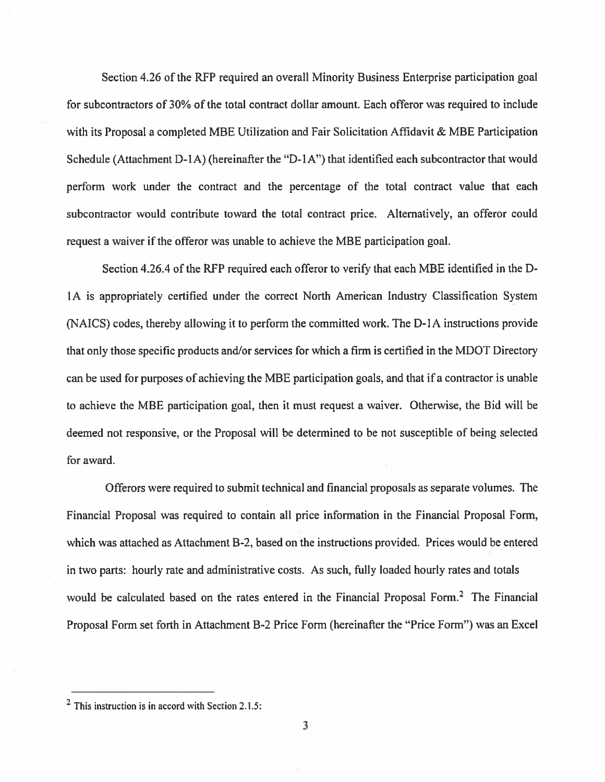Section 4.26 of the RFP required an overall Minority Business Enterprise participation goal for subcontractors of 30% of the total contract dollar amount. Each offeror was required to include with its Proposal a completed MBE Utilization and Fair Solicitation Affidavit & MBE Participation Schedule (Attachment D-1A) (hereinafter the "D-1A") that identified each subcontractor that would perform work under the contract and the percentage of the total contract value that each subcontractor would contribute toward the total contract price. Alternatively, an offeror could reques<sup>t</sup> <sup>a</sup> waiver if the offeror was unable to achieve the MBE participation goal.

Section 4.26.4 of the RFP required each offeror to verify that each MBE identified in the D IA is appropriately certified under the correct North American Industry Classification System (NAICS) codes, thereby allowing it to perform the committed work. The D-IA instructions provide that only those specific products and/or services for which <sup>a</sup> firm is certified in the MDOT Directory can be used for purposes of achieving the MBE participation goals, and that if <sup>a</sup> contractor is unable to achieve the MBE participation goal, then it must reques<sup>t</sup> <sup>a</sup> waiver. Otherwise, the Bid will be deemed not responsive, or the Proposal will be determined to be not susceptible of being selected for award.

Offerors were required to submit technical and financial proposals as separate volumes. The Financial Proposal was required to contain all price information in the Financial Proposal Form, which was attached as Attachment B-2, based on the instructions provided. Prices would be entered in two parts: hourly rate and administrative costs. As such, fully loaded hourly rates and totals would be calculated based on the rates entered in the Financial Proposal Form.<sup>2</sup> The Financial Proposal Form set forth in Attachment B-2 Price Form (hereinafter the "Price Form") was an Excel

 $2$  This instruction is in accord with Section 2.1.5: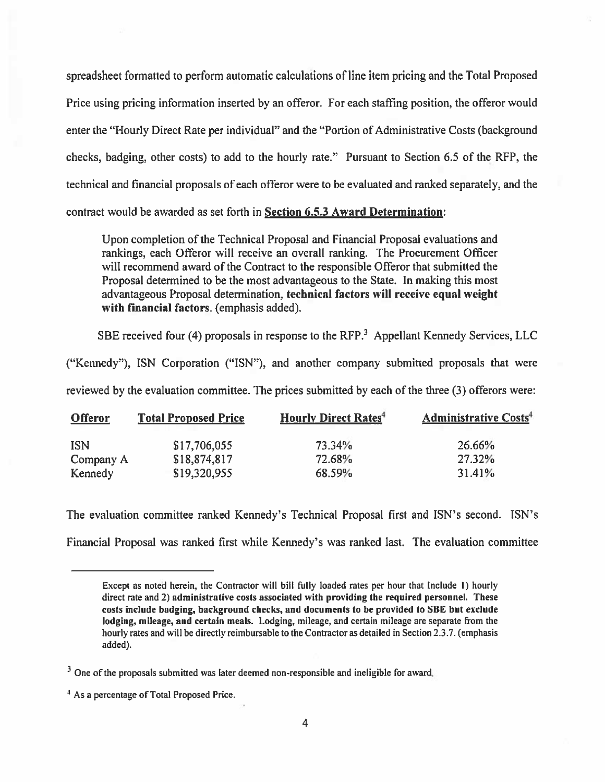spreadsheet formatted to perform automatic calculations of line item pricing and the Total Proposed Price using pricing information inserted by an offeror. For each staffing position, the offeror would enter the "Hourly Direct Rate per individual" and the "Portion of Administrative Costs (background checks, badging, other costs) to add to the hourly rate." Pursuant to Section 6.5 of the RFP, the technical and financial proposals of each offeror were to be evaluated and ranked separately, and the contract would be awarded as set forth in Section 6.5.3 Award Determination:

Upon completion of the Technical Proposal and Financial Proposal evaluations and rankings, each Offeror will receive an overall ranking. The Procurement Officer will recommend award of the Contract to the responsible Offeror that submitted the Proposal determined to be the most advantageous to the State. In making this most advantageous Proposal determination, technical factors will receive equal weight with financial factors. (emphasis added).

SBE received four (4) proposals in response to the RFP.<sup>3</sup> Appellant Kennedy Services, LLC

("Kennedy"), ISN Corporation ("ISN"), and another company submitted proposals that were reviewed by the evaluation committee. The prices submitted by each of the three (3) offerors were:

| <b>Offeror</b> | <b>Total Proposed Price</b> | <b>Hourly Direct Rates<sup>4</sup></b> | <b>Administrative Costs<sup>4</sup></b> |
|----------------|-----------------------------|----------------------------------------|-----------------------------------------|
| <b>ISN</b>     | \$17,706,055                | 73.34%                                 | 26.66%                                  |
| Company A      | \$18,874,817                | 72.68%                                 | 27.32%                                  |
| Kennedy        | \$19,320,955                | 68.59%                                 | 31.41%                                  |

The evaluation committee ranked Kennedy's Technical Proposal first and ISN's second. ISN's

Financial Proposal was ranked first while Kennedy's was ranked last. The evaluation committee

Except as noted herein, the Contractor will bill fully loaded rates per hour that Include I) hourly direct rate and 2) administrative costs associated with providing the required personnel. These costs include badging, background checks, and documents to be provided to SHE but exclude lodging, mileage, and certain meals. Lodging, mileage, and certain mileage are separate from the hourly rates and will be directly reimbursable to the Contractor as detailed in Section 2.3.7. (emphasis added).

<sup>&</sup>lt;sup>3</sup> One of the proposals submitted was later deemed non-responsible and ineligible for award.

<sup>&</sup>lt;sup>4</sup> As a percentage of Total Proposed Price.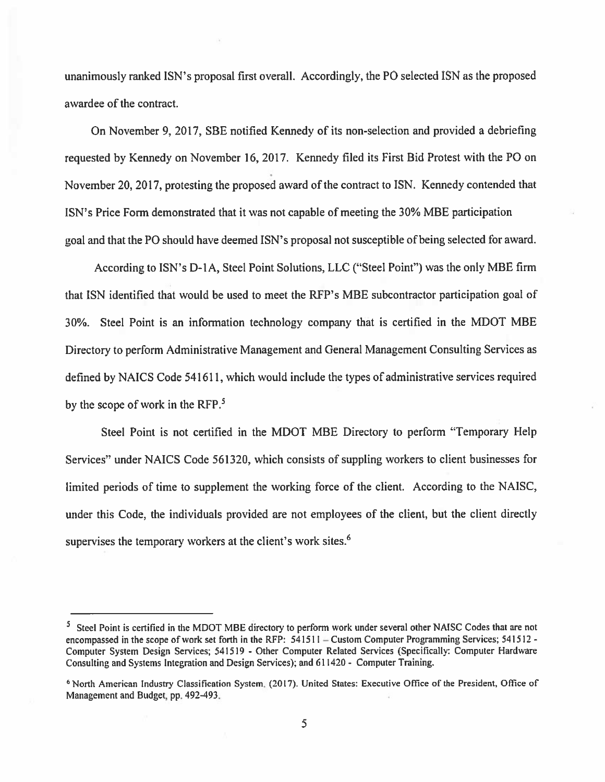unanimously ranked ISN's proposal first overall. Accordingly, the P0 selected JSN as the proposed awardee of the contract.

On November 9.2017, SBE notified Kennedy of its non-selection and provided <sup>a</sup> debriefing requested by Kennedy on November 16, 2017. Kennedy filed its First Bid Protest with the P0 on November 20, 2017, protesting the proposed award of the contract to ISN. Kennedy contended that ISN's Price Form demonstrated that it was not capable of meeting the 30% MBE participation goal and that the P0 should have deemed ISN's proposal not susceptible of being selected for award.

According to ISN's D-IA, Steel Point Solutions, LLC ("Steel Point") was the only MBE firm that ISN identified that would be used to meet the RFP's MBE subcontractor participation goal of 30%. Steel Point is an information technology company that is certified in the MDOT MBE Directory to perform Administrative Management and General Management Consulting Services as defined by NAICS Code 541611, which would include the types of administrative services required by the scope of work in the RFP.<sup>5</sup>

Steel Point is not certified in the MDOT MBE Directory to perform "Temporary Help Services" under NAICS Code 561320, which consists of suppling workers to client businesses for limited periods of time to supplement the working force of the client. According to the NAISC, under this Code, the individuals provided are not employees of the client, but the client directly supervises the temporary workers at the client's work sites.<sup>6</sup>

<sup>&</sup>lt;sup>5</sup> Steel Point is certified in the MDOT MBE directory to perform work under several other NAISC Codes that are not encompassed in the scope of work set forth in the RFP: 541511 – Custom Computer Programming Services; 541512 -Computer System Design Services; <sup>511519</sup> - Other Computer Related Services (Specifically: Computer Hardware Consulting and Systems Integration and Design Services); and 611420- Computer Training.

<sup>&</sup>lt;sup>6</sup> North American Industry Classification System. (2017). United States: Executive Office of the President, Office of Management and Budget, pp.492-493.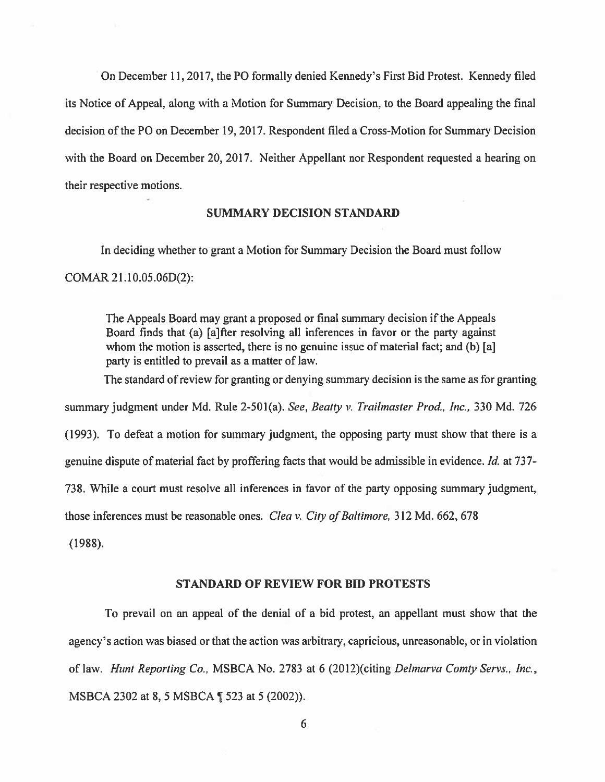On December 11, 2017, the PO formally denied Kennedy's First Bid Protest. Kennedy filed its Notice of Appeal, along with <sup>a</sup> Motion for Summary Decision, to the Board appealing the final decision of the P0 on December 19, 2017. Respondent filed <sup>a</sup> Cross-Motion for Summary Decision with the Board on December 20, 2017. Neither Appellant nor Respondent requested <sup>a</sup> hearing on their respective motions.

## SUMMARY DECISION STANDARD

In deciding whether to gran<sup>t</sup> <sup>a</sup> Motion for Summary Decision the Board must follow COMAR 21.I0.05.06D(2):

The Appeals Board may gran<sup>t</sup> <sup>a</sup> proposed or final summary decision if the Appeals Board finds that (a) [a]fter resolving all inferences in favor or the party against whom the motion is asserted, there is no genuine issue of material fact; and (b) [a] party is entitled to prevail as <sup>a</sup> matter of law.

The standard of review for granting or denying summary decision is the same as for granting

summary judgment under Md. Rule 2-501(a). See, Beatty v. Trailmaster Prod., Inc., 330 Md. 726

(1993). To defeat <sup>a</sup> motion for summary judgment, the opposing party must show that there is <sup>a</sup>

genuine dispute of material fact by proffering facts that would be admissible in evidence. Id. at 737-

738. While <sup>a</sup> court must resolve all inferences in favor of the party opposing summary judgment,

those inferences must be reasonable ones. *Clea v. City of Baltimore*, 312 Md. 662, 678

(1988).

#### STANDARD OF REVIEW FOR BID PROTESTS

To prevail on an appeal of the denial of <sup>a</sup> bid protest, an appellant must show that the agency's action was biased or that the action was arbitrary, capricious, unreasonable, or in violation of law. Hunt Reporting Co., MSBCA No. 2783 at 6 (2012)(citing Delmarva Comty Servs., Inc., MSBCA <sup>2302</sup> at 8, <sup>5</sup> MSBCA ¶ <sup>523</sup> at <sup>5</sup> (2002)).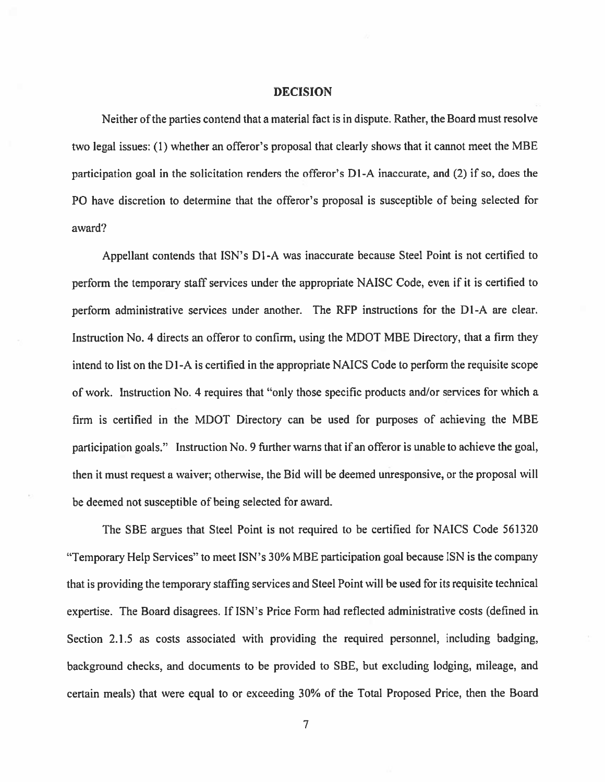#### DECISION

Neither ofthe parties contend that <sup>a</sup> material fact is in dispute. Rather, the Board must resolve two legal issues: (I) whether an offeror's proposal that clearly shows that it cannot meet the MBE participation goal in the solicitation renders the offeror's D1-A inaccurate, and (2) if so, does the PO have discretion to determine that the offeror's proposal is susceptible of being selected for award?

Appellant contends that ISN's D1-A was inaccurate because Steel Point is not certified to perform the temporary' staff services under the appropriate NAISC Code, even if it is certified to perform administrative services under another. The RFP instructions for the Dl-A are clear. Instruction No. 4 directs an offeror to confirm, using the MDOT MBE Directory, that <sup>a</sup> firm they intend to list on the Dl-A is certified in the appropriate NAICS Code to perform the requisite scope of work. Instruction No. 4 requires that "only those specific products and/or services for which <sup>a</sup> firm is certified in the MDOT Directory can be used for purposes of achieving the MBE participation goals." Instruction No. <sup>9</sup> further warns that if an offeror is unable to achieve the goal, then it must reques<sup>t</sup> <sup>a</sup> waiver; otherwise, the Bid will be deemed unresponsive, or the proposa<sup>l</sup> will be deemed not susceptible of being selected for award.

The SBE argues that Steel Point is not required to be certified for NAICS Code 561320 "Temporary Kelp Services" to meet ISN's 30% MBE participation goal because ISN is the company that is providing the temporary staffing services and Steel Point will be used for its requisite technical expertise. The Board disagrees. If ISN's Price Form had reflected administrative costs (defined in Section 2.1.5 as costs associated with providing the required personnel, including badging, background checks, and documents to be provided to SBE, but excluding lodging, mileage, and certain meals) that were equal to or exceeding 30% of the Total Proposed Price. then the Board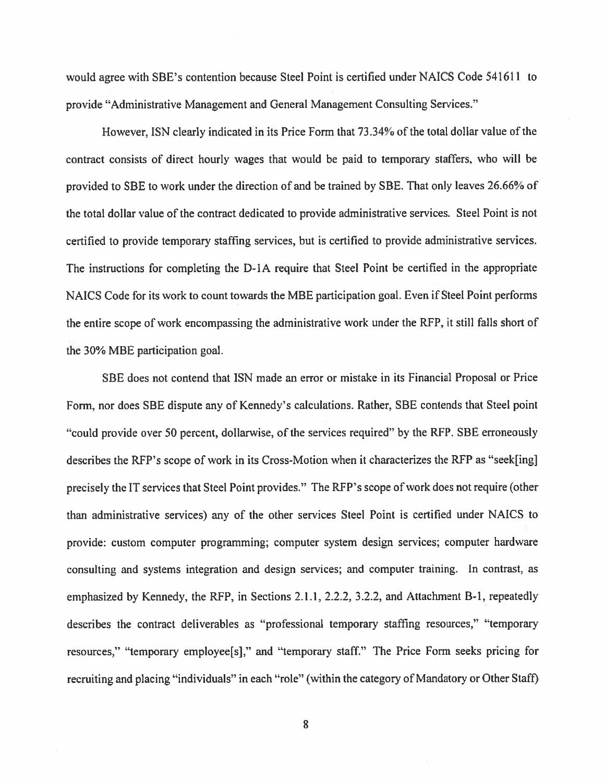would agree with SBE's contention because Steel Point is certified under NAICS Code 541611 to provide "Administrative Management and General Management Consulting Services."

However. ISN clearly indicated in its Price Form that 73.34% of the total dollar value of the contract consists of direct hourly wages that would be paid to temporary' staffers, who will be provided to SBE to work under the direction of and be trained by SBE. That only leaves 26.66% of the total dollar value of the contract dedicated to provide administrative services. Steel Point is not certified to provide temporary staffing services, but is certified to provide administrative services. The instructions for completing the D-IA require that Steel Point be certified in the appropriate NAICS Code for its work to count towards the MBE participation goal. Even if Steel Point performs the entire scope of work encompassing the administrative work under the RFP. it still falls short of the 30% MBE participation goal.

SBE does not contend that ISN made an error or mistake in its Financial Proposal or Price Form, nor does SBE dispute any of Kennedy's calculations. Rather, SBE contends that Steel point "could provide over 50 percent, dollarwise, of the services required" by the RFP. SBE erroneously describes the RFP's scope of work in its Cross-Motion when it characterizes the RFP as "seek[ingj precisely the IT services that Steel Point provides." The RFP's scope of work does not require (other than administrative services) any of the other services Steel Point is certified under NAICS to provide: custom computer programming; computer system design services; computer hardware consulting and systems integration and design services; and computer training. In contrast, as emphasized by Kennedy, the RFP, in Sections 2.1.1, 2.2.2, 3.2.2, and Attachment B-I, repeatedly describes the contract deliverables as "professional temporary staffing resources," "temporary' resources," "temporary employee[sl," and "temporary staff." The Price Form seeks pricing for recruiting and placing "individuals" in each "role" (within the category of Mandatory or Other Staff)

8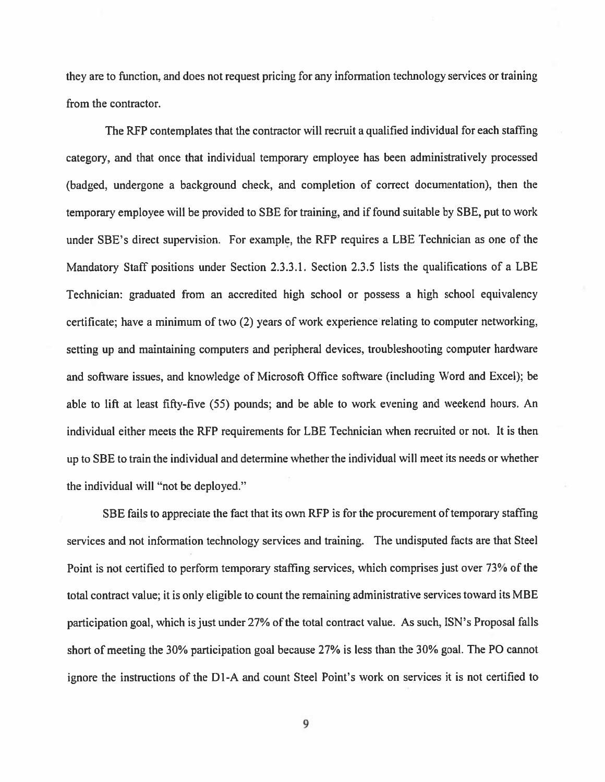they are to function, and does not reques<sup>t</sup> pricing for any information technology services or training from the contractor.

The RFP contemplates that the contractor will recruit <sup>a</sup> qualified individual for each staffing category, and that once that individual temporan' employee has been administratively processed (badged, undergone <sup>a</sup> background check, and completion of correct documentation), then the temporary' employee will be provided to SBE for training, and if found suitable by SBE, pu<sup>t</sup> to work under SBE's direct supervision. For example, the RFP requires <sup>a</sup> LBE Technician as one of the Mandatory Staff positions under Section 2.3.3.1. Section 2.3.5 lists the qualifications of <sup>a</sup> LBE Technician: graduated from an accredited high school or possess <sup>a</sup> high school equivalency certificate; have <sup>a</sup> minimum of two (2) years of work experience relating to computer networking, setting up and maintaining computers and peripheral devices, troubleshooting computer hardware and software issues, and knowledge of Microsoft Office software (including Word and Excel); be able to lift at least fifty-five (55) pounds; and be able to work evening and weekend hours. An individual either meets the RFP requirements for LBE Technician when recruited or not. It is then up to SBE to train the individual and determine whether the individual will meet its needs or whether the individual will "not be deployed."

SBE fails to appreciate the fact that its own RFP is for the procurement of temporary staffing services and not information technology services and training. The undisputed facts are that Steel Point is not certified to perform temporary staffing services, which comprises just over 73% of the total contract value; it is only eligible to count the remaining administrative services toward its MBE participation goal, which is just under 27% of the total contract value. As such, ISN's Proposal falls short of meeting the 30% participation goal because 27% is less than the 30% goal. The PO cannot ignore the instructions of the D1-A and count Steel Point's work on services it is not certified to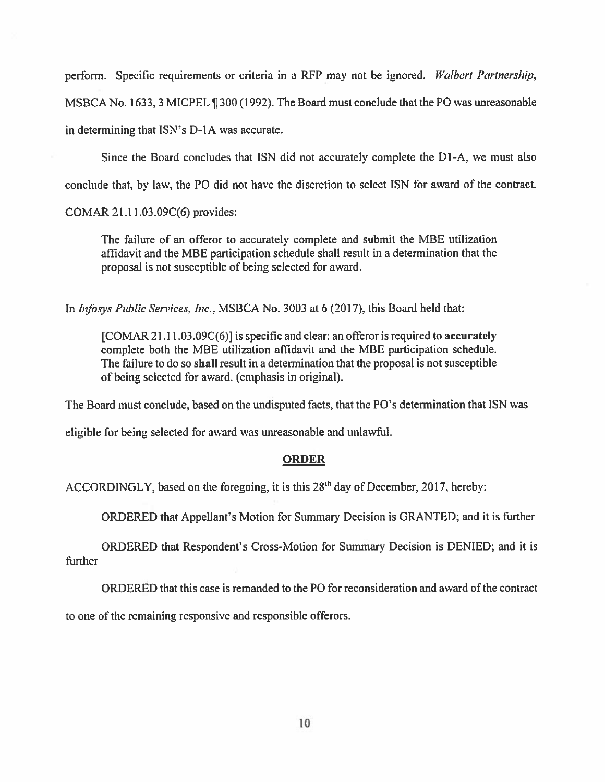perform. Specific requirements or criteria in <sup>a</sup> RFP may not be ignored. Walbert Partnership, MSBCA No. 1633,3 MICPEL ¶ 300(1992). The Board must conclude that the P0 was unreasonable in determining that ISN's D-IA was accurate.

Since the Board concludes that ISN did not accurately complete the D1-A, we must also

conclude that, by law, the P0 did not have the discretion to select ISN for award of the contract.

COMAR 21.11 .03.09C(6) provides:

The failure of an offeror to accurately complete and submit the MBE utilization affidavit and the MBE participation schedule shall result in <sup>a</sup> determination that the proposal is not susceptible of being selected for award.

In Infosys Public Services, Inc., MSBCA No. 3003 at 6 (2017), this Board held that:

[COMAR 21.11 .03.09C(6)] is specific and clear: an offeror is required to accurately complete both the MBE utilization affidavit and the MBE participation schedule. The failure to do so shall result in <sup>a</sup> determination that the proposal is not susceptible of being selected for award. (emphasis in original).

The Board must conclude, based on the undisputed facts, that the P0's determination that ISN was

eligible for being selected for award was unreasonable and unlawful.

## **ORDER**

ACCORDINGLY, based on the foregoing, it is this  $28<sup>th</sup>$  day of December, 2017, hereby:

ORDERED that Appellant's Motion for Summary Decision is GRANTED; and it is further

ORDERED that Respondent's Cross-Motion for Summary Decision is DENIED; and it is further

ORDERED that this case is remanded to the PO for reconsideration and award of the contract

to one of the remaining responsive and responsible offerors.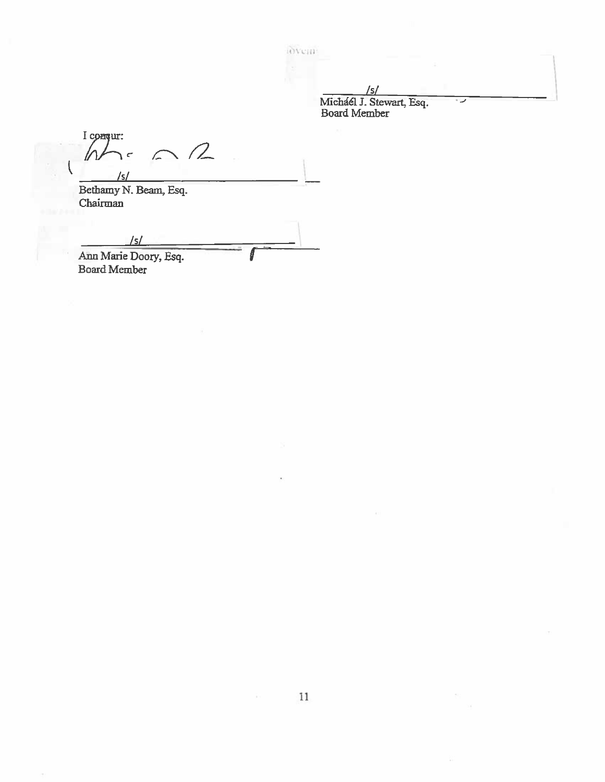iovem

/5/ Michael J. Stewart, Esq. Board Member

I conqur:  $\cap$ W  $\mathbf{r}$  $\mathcal{L}$ '5/

Bethamy N. Beam, Esq. Chairman

 $\sqrt{5/2}$ 

Ann Marie Doory, Esq. Board Member